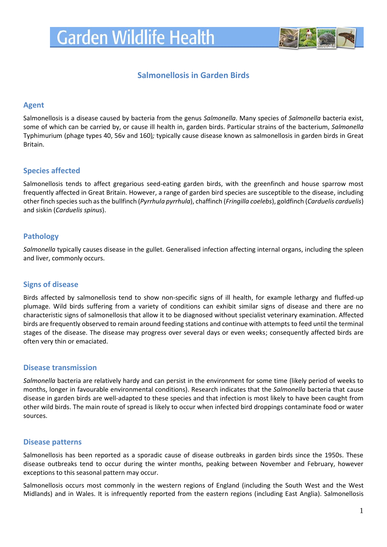

# **Salmonellosis in Garden Birds**

#### **Agent**

Salmonellosis is a disease caused by bacteria from the genus *Salmonella*. Many species of *Salmonella* bacteria exist, some of which can be carried by, or cause ill health in, garden birds. Particular strains of the bacterium, *Salmonella*  Typhimurium (phage types 40, 56v and 160)*;* typically cause disease known as salmonellosis in garden birds in Great Britain.

# **Species affected**

Salmonellosis tends to affect gregarious seed-eating garden birds, with the greenfinch and house sparrow most frequently affected in Great Britain. However, a range of garden bird species are susceptible to the disease, including other finch species such as the bullfinch (*Pyrrhula pyrrhula*), chaffinch (*Fringilla coelebs*), goldfinch (*Carduelis carduelis*) and siskin (*Carduelis spinus*).

# **Pathology**

*Salmonella* typically causes disease in the gullet. Generalised infection affecting internal organs, including the spleen and liver, commonly occurs.

# **Signs of disease**

Birds affected by salmonellosis tend to show non-specific signs of ill health, for example lethargy and fluffed-up plumage. Wild birds suffering from a variety of conditions can exhibit similar signs of disease and there are no characteristic signs of salmonellosis that allow it to be diagnosed without specialist veterinary examination. Affected birds are frequently observed to remain around feeding stations and continue with attempts to feed until the terminal stages of the disease. The disease may progress over several days or even weeks; consequently affected birds are often very thin or emaciated.

# **Disease transmission**

*Salmonella* bacteria are relatively hardy and can persist in the environment for some time (likely period of weeks to months, longer in favourable environmental conditions). Research indicates that the *Salmonella* bacteria that cause disease in garden birds are well-adapted to these species and that infection is most likely to have been caught from other wild birds. The main route of spread is likely to occur when infected bird droppings contaminate food or water sources.

#### **Disease patterns**

Salmonellosis has been reported as a sporadic cause of disease outbreaks in garden birds since the 1950s. These disease outbreaks tend to occur during the winter months, peaking between November and February, however exceptions to this seasonal pattern may occur.

Salmonellosis occurs most commonly in the western regions of England (including the South West and the West Midlands) and in Wales. It is infrequently reported from the eastern regions (including East Anglia). Salmonellosis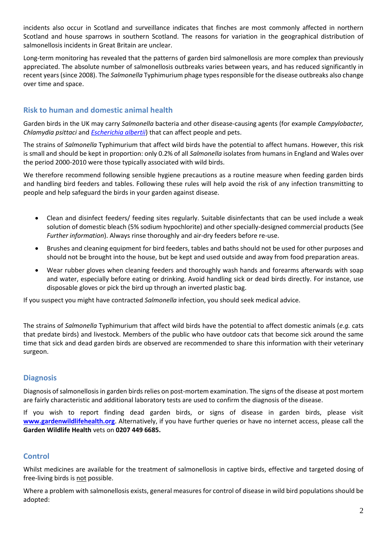incidents also occur in Scotland and surveillance indicates that finches are most commonly affected in northern Scotland and house sparrows in southern Scotland. The reasons for variation in the geographical distribution of salmonellosis incidents in Great Britain are unclear.

Long-term monitoring has revealed that the patterns of garden bird salmonellosis are more complex than previously appreciated. The absolute number of salmonellosis outbreaks varies between years, and has reduced significantly in recent years (since 2008). The *Salmonella* Typhimurium phage types responsible for the disease outbreaks also change over time and space.

# **Risk to human and domestic animal health**

Garden birds in the UK may carry *Salmonella* bacteria and other disease-causing agents (for example *Campylobacter, Chlamydia psittaci* and *[Escherichia albertii](http://www.gardenwildlifehealth.org/files/2013/06/Garden-bird-Escherichia-albertii-factsheet_GWH.pdf)*) that can affect people and pets.

The strains of *Salmonella* Typhimurium that affect wild birds have the potential to affect humans. However, this risk is small and should be kept in proportion: only 0.2% of all *Salmonella* isolates from humans in England and Wales over the period 2000-2010 were those typically associated with wild birds.

We therefore recommend following sensible hygiene precautions as a routine measure when feeding garden birds and handling bird feeders and tables. Following these rules will help avoid the risk of any infection transmitting to people and help safeguard the birds in your garden against disease.

- Clean and disinfect feeders/ feeding sites regularly. Suitable disinfectants that can be used include a weak solution of domestic bleach (5% sodium hypochlorite) and other specially-designed commercial products (See *Further information*). Always rinse thoroughly and air-dry feeders before re-use.
- Brushes and cleaning equipment for bird feeders, tables and baths should not be used for other purposes and should not be brought into the house, but be kept and used outside and away from food preparation areas.
- Wear rubber gloves when cleaning feeders and thoroughly wash hands and forearms afterwards with soap and water, especially before eating or drinking. Avoid handling sick or dead birds directly. For instance, use disposable gloves or pick the bird up through an inverted plastic bag.

If you suspect you might have contracted *Salmonella* infection, you should seek medical advice.

The strains of *Salmonella* Typhimurium that affect wild birds have the potential to affect domestic animals (*e.g.* cats that predate birds) and livestock. Members of the public who have outdoor cats that become sick around the same time that sick and dead garden birds are observed are recommended to share this information with their veterinary surgeon.

# **Diagnosis**

Diagnosis of salmonellosis in garden birds relies on post-mortem examination. The signs of the disease at post mortem are fairly characteristic and additional laboratory tests are used to confirm the diagnosis of the disease.

If you wish to report finding dead garden birds, or signs of disease in garden birds, please visit **[www.gardenwildlifehealth.org](http://www.gardenwildlifehealth.org/)**. Alternatively, if you have further queries or have no internet access, please call the **Garden Wildlife Health** vets on **0207 449 6685.**

# **Control**

Whilst medicines are available for the treatment of salmonellosis in captive birds, effective and targeted dosing of free-living birds is not possible.

Where a problem with salmonellosis exists, general measures for control of disease in wild bird populations should be adopted: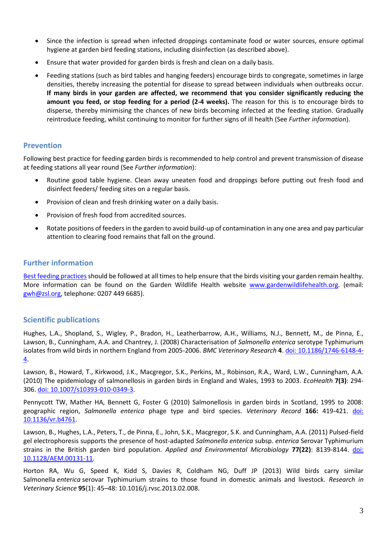- Since the infection is spread when infected droppings contaminate food or water sources, ensure optimal hygiene at garden bird feeding stations, including disinfection (as described above).
- Ensure that water provided for garden birds is fresh and clean on a daily basis.
- Feeding stations (such as bird tables and hanging feeders) encourage birds to congregate, sometimes in large densities, thereby increasing the potential for disease to spread between individuals when outbreaks occur. **If many birds in your garden are affected, we recommend that you consider significantly reducing the amount you feed, or stop feeding for a period (2-4 weeks).** The reason for this is to encourage birds to disperse, thereby minimising the chances of new birds becoming infected at the feeding station. Gradually reintroduce feeding, whilst continuing to monitor for further signs of ill health (See *Further information*).

#### **Prevention**

Following best practice for feeding garden birds is recommended to help control and prevent transmission of disease at feeding stations all year round (See *Further information*):

- Routine good table hygiene. Clean away uneaten food and droppings before putting out fresh food and disinfect feeders/ feeding sites on a regular basis.
- Provision of clean and fresh drinking water on a daily basis.
- Provision of fresh food from accredited sources.
- Rotate positions of feeders in the garden to avoid build-up of contamination in any one area and pay particular attention to clearing food remains that fall on the ground.

#### **Further information**

Best feeding practices should be followed at all times to help ensure that the birds visiting your garden remain healthy. More information can be found on the Garden Wildlife Health website [www.gardenwildlifehealth.org.](http://www.gardenwildlifehealth.org/) (email: [gwh@zsl.org,](mailto:gwh@zsl.org) telephone: 0207 449 6685).

#### **Scientific publications**

Hughes, L.A., Shopland, S., Wigley, P., Bradon, H., Leatherbarrow, A.H., Williams, N.J., Bennett, M., de Pinna, E., Lawson, B., Cunningham, A.A. and Chantrey, J. (2008) Characterisation of *Salmonella enterica* serotype Typhimurium isolates from wild birds in northern England from 2005-2006. *BMC Veterinary Research* **4**. [doi: 10.1186/1746-6148-4-](http://www.ncbi.nlm.nih.gov/pubmed/18230128) [4.](http://www.ncbi.nlm.nih.gov/pubmed/18230128)

Lawson, B., Howard, T., Kirkwood, J.K., Macgregor, S.K., Perkins, M., Robinson, R.A., Ward, L.W., Cunningham, A.A. (2010) The epidemiology of salmonellosis in garden birds in England and Wales, 1993 to 2003. *EcoHealth* **7(3)**: 294- 306. [doi: 10.1007/s10393-010-0349-3.](http://www.ncbi.nlm.nih.gov/pubmed/20945078)

Pennycott TW, Mather HA, Bennett G, Foster G (2010) Salmonellosis in garden birds in Scotland, 1995 to 2008: geographic region, *Salmonella enterica* phage type and bird species. *Veterinary Record* **166:** 419-421. [doi:](http://www.ncbi.nlm.nih.gov/pubmed/20364008)  [10.1136/vr.b4761.](http://www.ncbi.nlm.nih.gov/pubmed/20364008)

Lawson, B., Hughes, L.A., Peters, T., de Pinna, E., John, S.K., Macgregor, S.K. and Cunningham, A.A. (2011) Pulsed-field gel electrophoresis supports the presence of host-adapted *Salmonella enterica* subsp. *enterica* Serovar Typhimurium strains in the British garden bird population. *Applied and Environmental Microbiology* **77(22)**: 8139-8144. [doi:](http://www.ncbi.nlm.nih.gov/pubmed/21948838)  [10.1128/AEM.00131-11.](http://www.ncbi.nlm.nih.gov/pubmed/21948838)

Horton RA, Wu G, Speed K, Kidd S, Davies R, Coldham NG, Duff JP (2013) Wild birds carry similar Salmonella *enterica* serovar Typhimurium strains to those found in domestic animals and livestock. *Research in Veterinary Science* **95**(1): 45–48: 10.1016/j.rvsc.2013.02.008.